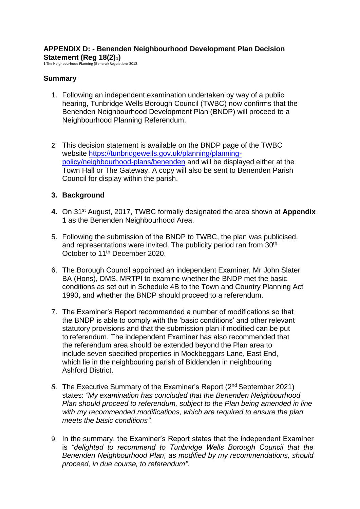# **APPENDIX D: - Benenden Neighbourhood Development Plan Decision Statement (Reg 18(2)1)**

1 The Neighbourhood Planning (General) Regulations 2012

# **Summary**

- 1. Following an independent examination undertaken by way of a public hearing, Tunbridge Wells Borough Council (TWBC) now confirms that the Benenden Neighbourhood Development Plan (BNDP) will proceed to a Neighbourhood Planning Referendum.
- 2. This decision statement is available on the BNDP page of the TWBC website [https://tunbridgewells.gov.uk/planning/planning](https://tunbridgewells.gov.uk/planning/planning-policy/neighbourhood-plans/benenden)[policy/neighbourhood-plans/benenden](https://tunbridgewells.gov.uk/planning/planning-policy/neighbourhood-plans/benenden) and will be displayed either at the Town Hall or The Gateway. A copy will also be sent to Benenden Parish Council for display within the parish.

## **3. Background**

- **4.** On 31st August, 2017, TWBC formally designated the area shown at **Appendix 1** as the Benenden Neighbourhood Area.
- 5. Following the submission of the BNDP to TWBC, the plan was publicised, and representations were invited. The publicity period ran from 30<sup>th</sup> October to 11<sup>th</sup> December 2020.
- 6. The Borough Council appointed an independent Examiner, Mr John Slater BA (Hons), DMS, MRTPI to examine whether the BNDP met the basic conditions as set out in Schedule 4B to the Town and Country Planning Act 1990, and whether the BNDP should proceed to a referendum.
- 7. The Examiner's Report recommended a number of modifications so that the BNDP is able to comply with the 'basic conditions' and other relevant statutory provisions and that the submission plan if modified can be put to referendum. The independent Examiner has also recommended that the referendum area should be extended beyond the Plan area to include seven specified properties in Mockbeggars Lane, East End, which lie in the neighbouring parish of Biddenden in neighbouring Ashford District.
- *8.* The Executive Summary of the Examiner's Report (2nd September 2021) states: *"My examination has concluded that the Benenden Neighbourhood Plan should proceed to referendum, subject to the Plan being amended in line with my recommended modifications, which are required to ensure the plan meets the basic conditions".*
- 9. In the summary, the Examiner's Report states that the independent Examiner is *"delighted to recommend to Tunbridge Wells Borough Council that the Benenden Neighbourhood Plan, as modified by my recommendations, should proceed, in due course, to referendum".*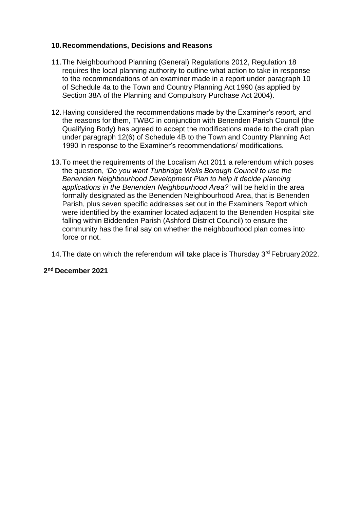#### **10.Recommendations, Decisions and Reasons**

- 11.The Neighbourhood Planning (General) Regulations 2012, Regulation 18 requires the local planning authority to outline what action to take in response to the recommendations of an examiner made in a report under paragraph 10 of Schedule 4a to the Town and Country Planning Act 1990 (as applied by Section 38A of the Planning and Compulsory Purchase Act 2004).
- 12.Having considered the recommendations made by the Examiner's report, and the reasons for them, TWBC in conjunction with Benenden Parish Council (the Qualifying Body) has agreed to accept the modifications made to the draft plan under paragraph 12(6) of Schedule 4B to the Town and Country Planning Act 1990 in response to the Examiner's recommendations/ modifications.
- 13.To meet the requirements of the Localism Act 2011 a referendum which poses the question, *'Do you want Tunbridge Wells Borough Council to use the Benenden Neighbourhood Development Plan to help it decide planning applications in the Benenden Neighbourhood Area?'* will be held in the area formally designated as the Benenden Neighbourhood Area, that is Benenden Parish, plus seven specific addresses set out in the Examiners Report which were identified by the examiner located adjacent to the Benenden Hospital site falling within Biddenden Parish (Ashford District Council) to ensure the community has the final say on whether the neighbourhood plan comes into force or not.
- 14. The date on which the referendum will take place is Thursday 3<sup>rd</sup> February 2022.

## **2 nd December 2021**